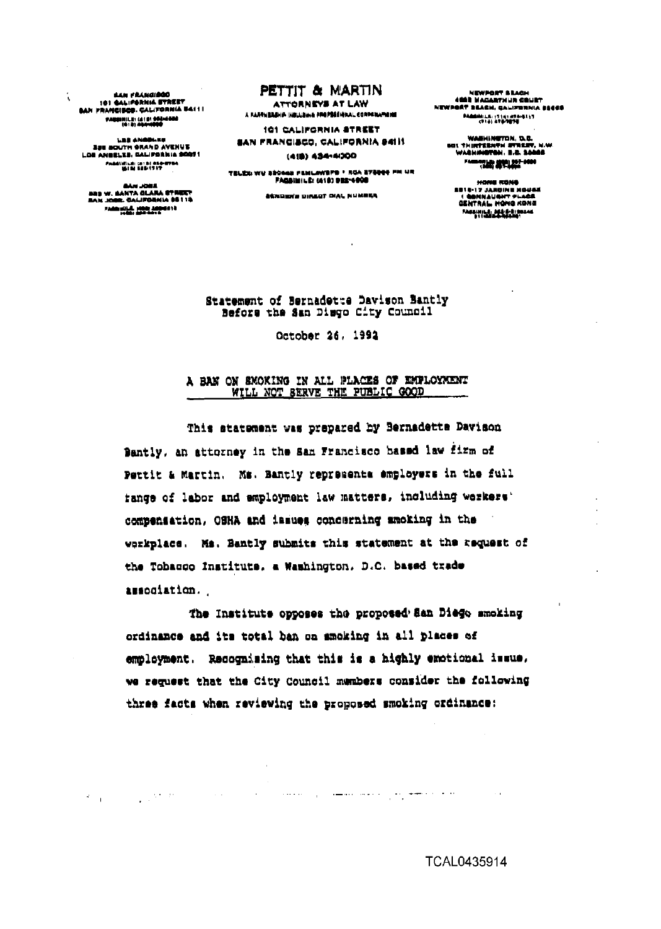**BAN FRANCIAGO** 181 CALIFORNIA STREET<br>CAN PRANCISCO, CALIFORNIA BAILL **FARRINILE: (A18) SPENSORO**<br>(Q18) ARAMARA

í.

**LES ANGE** LES ANGELIE<br>ZEE SOUTH GRAND AVENUE<br>LOE ANGELES, GALIFORNIA SOUTH PAGGISTER (213) 859-9784<br>- GENERAL SERIES

GAN JORE<br>Bas W. GANTA GLARA STREET<br>BAN JORE, GALIFORNIA 95119 Francisco Mar Monart

# PETTIT & MARTIN

**ATTORNEYS AT LAW** A FAASHEASHA INGUJENA FROPERI (ORAL CORPORATION)

101 CALIFORNIA STREET SAN FRANCISCO, CALIFORNIA 94111

(418) 434-4000

TELES WE SEGGE FEMILIWEFS \* RGA STEER FM UR **FAGSINILE: (418) 932-4008** 

**ASNOW'S DIRECT CIAL NUMBER** 

NEWPORT & LAGH<br>400 NACARTHUR COURT NEWPORT BEACH, CALIFORNIA BEACH PAAMMILK (1141 AT6-8117)<br>(114) AT6-7876

WABHINGTON, D.C.<br>501 THIRTEENTH STREET, N.W.<br>WABHINGTON, B.C. 10066 FARM POWER AND ADDRESSED

HONE KONS<br>BE14-17 JARDINE NOUSE<br>CENTRAL HONG KONG<br>GENTRAL HONG KONG **MARINER PERSONAL** 

Statement of Bernadette Davison Bantly Befors the San Disgo City Council

October 26, 1992

### A BAN ON SMOKING IN ALL PLACES OF EMPLOYMENT WILL NOT SERVE THE PUBLIC GOOD

This statement was prepared by Bernadette Davison Bantly, an attorney in the San Francisco based law firm of Pettit & Martin. Ms. Bantly represents employers in the full fange of labor and employment law matters, including workers' compensation, OSHA and issues concerning amoking in the werkplace. Ms. Bantly submits this statement at the request of the Tobacco Institute, a Washington, D.C. based trade association.

The Institute opposes the proposed San Diego smoking ordinance and its total ban on smoking in all places of employment. Recognizing that this is a highly emotional issue. we request that the City Council members consider the following three facts when reviewing the proposed smoking ordinance:

 $\sim 10^{11}$  km s  $^{-1}$ 

 $\sigma_{\rm{max}}=1$ 

العرفاء وسسم إبراز ومكمر وكسباني المعتد

TCAL0435914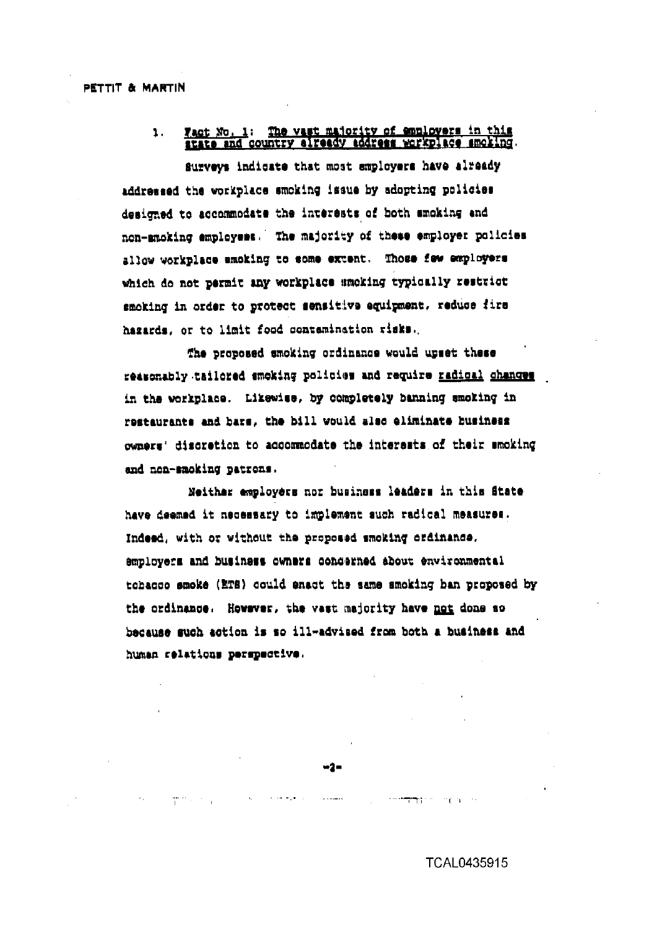# Fact No. 1: The vast majority of employers in this state and country already address workplace amoking.  $\mathbf{1}$ .

Surveys indicate that most employers have already addressed the workplace smoking issue by adopting policies designed to accommodate the interests of both smoking and non-amoking employees. The majority of these employer policies allow workplace smoking to some extent. Those few employers which do not permit any workplace smoking typically restrict smoking in order to protect sensitive equipment, reduce fire hazards, or to limit food contamination risks.

The proposed smoking ordinance would upset these reasonably tailored emoking policies and require radical changes in the workplace. Likewise, by completely banning smoking in restaurants and bars, the bill would also eliminate business owners' discretion to accommodate the interests of their smoking and non-smoking patrons.

Neither employers nor business leaders in this State have deemed it necessary to implement such radical measures. Indeed, with or without the proposed smoking ordinance. employers and business owners concerned about environmental tohacco smoke (ETS) could enact the same smoking ban proposed by the ordinance. However, the vast majority have not done so because such action is so ill-advised from both a business and human relations perspective.

 $\sim 1.45$  and  $\sim 1.5$ 

 $\mathcal{A}$  , and  $\mathcal{A}$  , and  $\mathcal{A}$ 

more provided.

والمراوي والمستوقف والمستنقذ والمتواطئ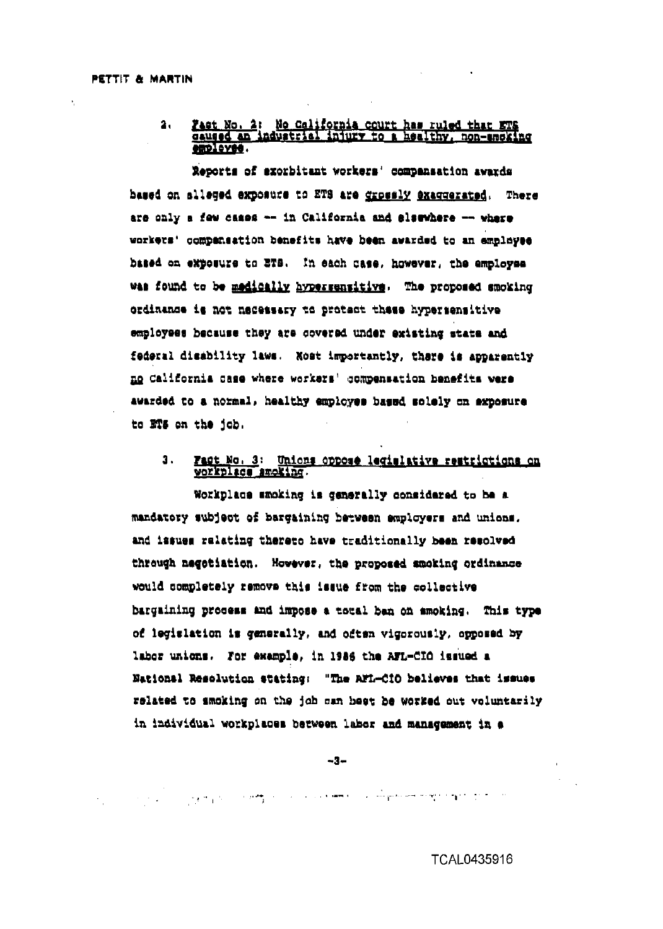#### Fast No. 2: No California court has ruled that ETS  $2<sub>1</sub>$ employee.

Reports of exorbitant workers' compensation awards based on alleged exposure to ETS are grossly exaggerated. There are only a few cases -- in California and elsewhere -- where workers' compansation benefits have been awarded to an employee based on exposure to ETS. In each case, however, the employee was found to be madically hypersensitive. The proposed smoking ordinance is not necessary to protect these hypersensitive employees because they are covered under existing state and federal disability laws. Nost importantly, there is apparently no California case where workers' compensation benefits were awarded to a normal, healthy employes based solely on exposure to ETS on the job.

#### $\mathbf{a}$ . Fact No. 3: Unions oppose legislative restrictions on workplace amoking.

Workplace smoking is cenerally considered to be a mandatory subject of bargaining between employers and unions. and issues relating thereto have traditionally been resolved through negetiation. However, the proposed smoking ordinance would completely remove this issue from the collective bargaining process and impose a total ban on smoking. This type of legislation is generally, and often vigorously, opposed by labor unions. For example, in 1986 the AFL-CIO issued a National Resolution stating: "The AFL-CIO believes that issues related to smoking on the job can heat be worked out voluntarily in individual workplaces between labor and management in a

 $-3-$ 

ومارا فروق وللهوام فهجوه ومستقلهم متران المستوفيت بالانتاذ التراقعين والارتباع والمهيرات الانتاج والمراجي

**TCAL0435916**